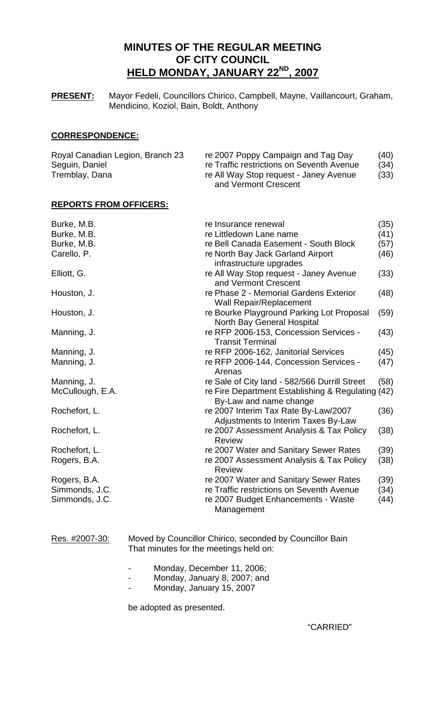# **MINUTES OF THE REGULAR MEETING OF CITY COUNCIL HELD MONDAY, JANUARY 22ND, 2007**

**PRESENT:** Mayor Fedeli, Councillors Chirico, Campbell, Mayne, Vaillancourt, Graham, Mendicino, Koziol, Bain, Boldt, Anthony

# **CORRESPONDENCE:**

| Royal Canadian Legion, Branch 23 | re 2007 Poppy Campaign and Tag Day        | (40) |  |
|----------------------------------|-------------------------------------------|------|--|
| Seguin, Daniel                   | re Traffic restrictions on Seventh Avenue | (34) |  |
| Tremblay, Dana                   | re All Way Stop request - Janey Avenue    |      |  |
|                                  | and Vermont Crescent                      |      |  |

# **REPORTS FROM OFFICERS:**

| Burke, M.B.      | re Insurance renewal                                                           |      |  |  |
|------------------|--------------------------------------------------------------------------------|------|--|--|
| Burke, M.B.      | re Littledown Lane name                                                        |      |  |  |
| Burke, M.B.      | re Bell Canada Easement - South Block                                          | (57) |  |  |
| Carello, P.      | re North Bay Jack Garland Airport                                              | (46) |  |  |
|                  | infrastructure upgrades                                                        |      |  |  |
| Elliott, G.      | re All Way Stop request - Janey Avenue<br>and Vermont Crescent                 |      |  |  |
| Houston, J.      | re Phase 2 - Memorial Gardens Exterior<br><b>Wall Repair/Replacement</b>       |      |  |  |
| Houston, J.      | re Bourke Playground Parking Lot Proposal<br><b>North Bay General Hospital</b> |      |  |  |
| Manning, J.      | re RFP 2006-153, Concession Services -<br><b>Transit Terminal</b>              | (43) |  |  |
| Manning, J.      | re RFP 2006-162, Janitorial Services                                           | (45) |  |  |
| Manning, J.      | re RFP 2006-144, Concession Services -<br>Arenas                               | (47) |  |  |
| Manning, J.      | re Sale of City land - 582/566 Durrill Street                                  | (58) |  |  |
| McCullough, E.A. | re Fire Department Establishing & Regulating (42)<br>By-Law and name change    |      |  |  |
| Rochefort, L.    | re 2007 Interim Tax Rate By-Law/2007<br>Adjustments to Interim Taxes By-Law    | (36) |  |  |
| Rochefort, L.    | re 2007 Assessment Analysis & Tax Policy<br><b>Review</b>                      | (38) |  |  |
| Rochefort, L.    | re 2007 Water and Sanitary Sewer Rates                                         | (39) |  |  |
| Rogers, B.A.     | re 2007 Assessment Analysis & Tax Policy<br><b>Review</b>                      | (38) |  |  |
| Rogers, B.A.     | re 2007 Water and Sanitary Sewer Rates                                         | (39) |  |  |
| Simmonds, J.C.   | re Traffic restrictions on Seventh Avenue                                      | (34) |  |  |
| Simmonds, J.C.   | re 2007 Budget Enhancements - Waste<br>Management                              | (44) |  |  |

Res. #2007-30: Moved by Councillor Chirico, seconded by Councillor Bain That minutes for the meetings held on:

- Monday, December 11, 2006;
- Monday, January 8, 2007; and
- Monday, January 15, 2007

be adopted as presented.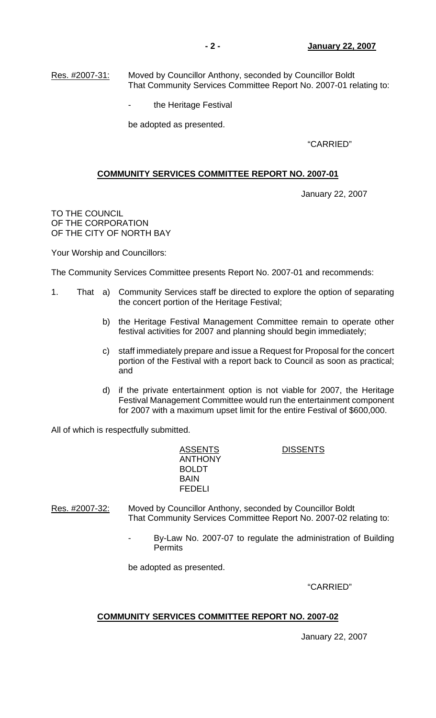Res. #2007-31: Moved by Councillor Anthony, seconded by Councillor Boldt That Community Services Committee Report No. 2007-01 relating to:

the Heritage Festival

be adopted as presented.

"CARRIED"

# **COMMUNITY SERVICES COMMITTEE REPORT NO. 2007-01**

January 22, 2007

TO THE COUNCIL OF THE CORPORATION OF THE CITY OF NORTH BAY

Your Worship and Councillors:

The Community Services Committee presents Report No. 2007-01 and recommends:

- 1. That a) Community Services staff be directed to explore the option of separating the concert portion of the Heritage Festival;
	- b) the Heritage Festival Management Committee remain to operate other festival activities for 2007 and planning should begin immediately;
	- c) staff immediately prepare and issue a Request for Proposal for the concert portion of the Festival with a report back to Council as soon as practical; and
	- d) if the private entertainment option is not viable for 2007, the Heritage Festival Management Committee would run the entertainment component for 2007 with a maximum upset limit for the entire Festival of \$600,000.

All of which is respectfully submitted.

 ANTHONY BOLDT BAIN FEDELI

ASSENTS DISSENTS

Res. #2007-32: Moved by Councillor Anthony, seconded by Councillor Boldt That Community Services Committee Report No. 2007-02 relating to:

> By-Law No. 2007-07 to regulate the administration of Building **Permits**

be adopted as presented.

"CARRIED"

# **COMMUNITY SERVICES COMMITTEE REPORT NO. 2007-02**

January 22, 2007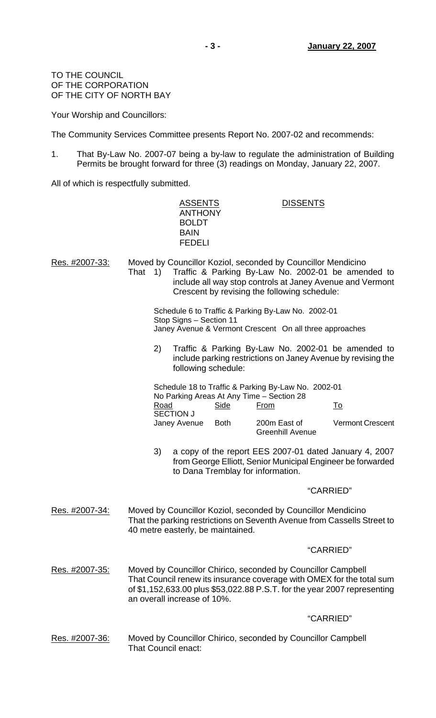TO THE COUNCIL OF THE CORPORATION OF THE CITY OF NORTH BAY

Your Worship and Councillors:

The Community Services Committee presents Report No. 2007-02 and recommends:

1. That By-Law No. 2007-07 being a by-law to regulate the administration of Building Permits be brought forward for three (3) readings on Monday, January 22, 2007.

ASSENTS DISSENTS

All of which is respectfully submitted.

|                       |                                                                                                                                                                                                                                                                                            | <b>ANTHONY</b><br><b>BOLDT</b><br><b>BAIN</b><br><b>FEDELI</b>                                                                            |                                   |                                                              |           |                                                                                                                                                   |
|-----------------------|--------------------------------------------------------------------------------------------------------------------------------------------------------------------------------------------------------------------------------------------------------------------------------------------|-------------------------------------------------------------------------------------------------------------------------------------------|-----------------------------------|--------------------------------------------------------------|-----------|---------------------------------------------------------------------------------------------------------------------------------------------------|
| Res. #2007-33:        | Moved by Councillor Koziol, seconded by Councillor Mendicino<br>Traffic & Parking By-Law No. 2002-01 be amended to<br>That<br>$\left( \begin{array}{c} 1 \end{array} \right)$<br>include all way stop controls at Janey Avenue and Vermont<br>Crescent by revising the following schedule: |                                                                                                                                           |                                   |                                                              |           |                                                                                                                                                   |
|                       |                                                                                                                                                                                                                                                                                            | Schedule 6 to Traffic & Parking By-Law No. 2002-01<br>Stop Signs - Section 11<br>Janey Avenue & Vermont Crescent On all three approaches  |                                   |                                                              |           |                                                                                                                                                   |
|                       | 2)                                                                                                                                                                                                                                                                                         | Traffic & Parking By-Law No. 2002-01 be amended to<br>include parking restrictions on Janey Avenue by revising the<br>following schedule: |                                   |                                                              |           |                                                                                                                                                   |
|                       | <b>Road</b>                                                                                                                                                                                                                                                                                | Schedule 18 to Traffic & Parking By-Law No. 2002-01<br>No Parking Areas At Any Time - Section 28<br>Side<br><b>SECTION J</b>              |                                   | <u>From</u>                                                  |           | <u>To</u>                                                                                                                                         |
|                       |                                                                                                                                                                                                                                                                                            | Janey Avenue                                                                                                                              | <b>Both</b>                       | 200m East of<br><b>Greenhill Avenue</b>                      |           | <b>Vermont Crescent</b>                                                                                                                           |
|                       | 3)<br>a copy of the report EES 2007-01 dated January 4, 2007<br>from George Elliott, Senior Municipal Engineer be forwarded<br>to Dana Tremblay for information.                                                                                                                           |                                                                                                                                           |                                   |                                                              |           |                                                                                                                                                   |
|                       |                                                                                                                                                                                                                                                                                            |                                                                                                                                           |                                   |                                                              | "CARRIED" |                                                                                                                                                   |
| Res. #2007-34:        |                                                                                                                                                                                                                                                                                            |                                                                                                                                           | 40 metre easterly, be maintained. | Moved by Councillor Koziol, seconded by Councillor Mendicino |           | That the parking restrictions on Seventh Avenue from Cassells Street to                                                                           |
|                       |                                                                                                                                                                                                                                                                                            |                                                                                                                                           |                                   |                                                              | "CARRIED" |                                                                                                                                                   |
| Res. #2007-35:        | an overall increase of 10%.                                                                                                                                                                                                                                                                |                                                                                                                                           |                                   | Moved by Councillor Chirico, seconded by Councillor Campbell |           | That Council renew its insurance coverage with OMEX for the total sum<br>of \$1,152,633.00 plus \$53,022.88 P.S.T. for the year 2007 representing |
|                       |                                                                                                                                                                                                                                                                                            |                                                                                                                                           |                                   |                                                              | "CARRIED" |                                                                                                                                                   |
| <u>Res. #2007-36:</u> | That Council enact:                                                                                                                                                                                                                                                                        |                                                                                                                                           |                                   | Moved by Councillor Chirico, seconded by Councillor Campbell |           |                                                                                                                                                   |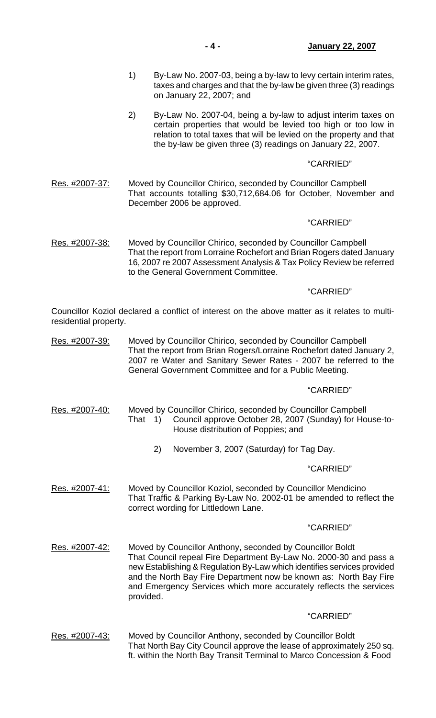- 1) By-Law No. 2007-03, being a by-law to levy certain interim rates, taxes and charges and that the by-law be given three (3) readings on January 22, 2007; and
- 2) By-Law No. 2007-04, being a by-law to adjust interim taxes on certain properties that would be levied too high or too low in relation to total taxes that will be levied on the property and that the by-law be given three (3) readings on January 22, 2007.

# "CARRIED"

Res. #2007-37: Moved by Councillor Chirico, seconded by Councillor Campbell That accounts totalling \$30,712,684.06 for October, November and December 2006 be approved.

# "CARRIED"

Res. #2007-38: Moved by Councillor Chirico, seconded by Councillor Campbell That the report from Lorraine Rochefort and Brian Rogers dated January 16, 2007 re 2007 Assessment Analysis & Tax Policy Review be referred to the General Government Committee.

# "CARRIED"

Councillor Koziol declared a conflict of interest on the above matter as it relates to multiresidential property.

Res. #2007-39: Moved by Councillor Chirico, seconded by Councillor Campbell That the report from Brian Rogers/Lorraine Rochefort dated January 2, 2007 re Water and Sanitary Sewer Rates - 2007 be referred to the General Government Committee and for a Public Meeting.

### "CARRIED"

- Res. #2007-40: Moved by Councillor Chirico, seconded by Councillor Campbell That 1) Council approve October 28, 2007 (Sunday) for House-to-House distribution of Poppies; and
	- 2) November 3, 2007 (Saturday) for Tag Day.

### "CARRIED"

Res. #2007-41: Moved by Councillor Koziol, seconded by Councillor Mendicino That Traffic & Parking By-Law No. 2002-01 be amended to reflect the correct wording for Littledown Lane.

### "CARRIED"

Res. #2007-42: Moved by Councillor Anthony, seconded by Councillor Boldt That Council repeal Fire Department By-Law No. 2000-30 and pass a new Establishing & Regulation By-Law which identifies services provided and the North Bay Fire Department now be known as: North Bay Fire and Emergency Services which more accurately reflects the services provided.

### "CARRIED"

Res. #2007-43: Moved by Councillor Anthony, seconded by Councillor Boldt That North Bay City Council approve the lease of approximately 250 sq. ft. within the North Bay Transit Terminal to Marco Concession & Food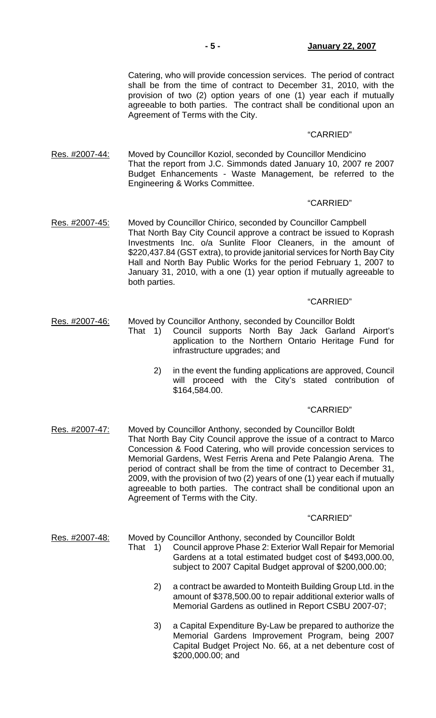Catering, who will provide concession services. The period of contract shall be from the time of contract to December 31, 2010, with the provision of two (2) option years of one (1) year each if mutually agreeable to both parties. The contract shall be conditional upon an Agreement of Terms with the City.

### "CARRIED"

Res. #2007-44: Moved by Councillor Koziol, seconded by Councillor Mendicino That the report from J.C. Simmonds dated January 10, 2007 re 2007 Budget Enhancements - Waste Management, be referred to the Engineering & Works Committee.

#### "CARRIED"

Res. #2007-45: Moved by Councillor Chirico, seconded by Councillor Campbell That North Bay City Council approve a contract be issued to Koprash Investments Inc. o/a Sunlite Floor Cleaners, in the amount of \$220,437.84 (GST extra), to provide janitorial services for North Bay City Hall and North Bay Public Works for the period February 1, 2007 to January 31, 2010, with a one (1) year option if mutually agreeable to both parties.

## "CARRIED"

- Res. #2007-46: Moved by Councillor Anthony, seconded by Councillor Boldt
	- That 1) Council supports North Bay Jack Garland Airport's application to the Northern Ontario Heritage Fund for infrastructure upgrades; and
		- 2) in the event the funding applications are approved, Council will proceed with the City's stated contribution of \$164,584.00.

#### "CARRIED"

Res. #2007-47: Moved by Councillor Anthony, seconded by Councillor Boldt That North Bay City Council approve the issue of a contract to Marco Concession & Food Catering, who will provide concession services to Memorial Gardens, West Ferris Arena and Pete Palangio Arena. The period of contract shall be from the time of contract to December 31, 2009, with the provision of two (2) years of one (1) year each if mutually agreeable to both parties. The contract shall be conditional upon an Agreement of Terms with the City.

- Res. #2007-48: Moved by Councillor Anthony, seconded by Councillor Boldt
	- That 1) Council approve Phase 2: Exterior Wall Repair for Memorial Gardens at a total estimated budget cost of \$493,000.00, subject to 2007 Capital Budget approval of \$200,000.00;
		- 2) a contract be awarded to Monteith Building Group Ltd. in the amount of \$378,500.00 to repair additional exterior walls of Memorial Gardens as outlined in Report CSBU 2007-07;
		- 3) a Capital Expenditure By-Law be prepared to authorize the Memorial Gardens Improvement Program, being 2007 Capital Budget Project No. 66, at a net debenture cost of \$200,000.00; and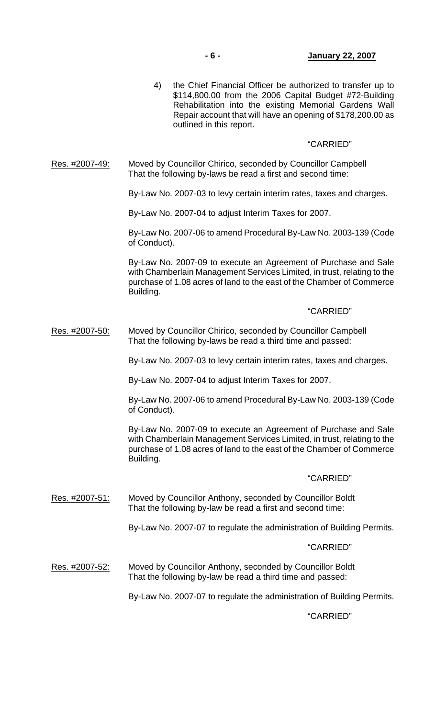4) the Chief Financial Officer be authorized to transfer up to \$114,800.00 from the 2006 Capital Budget #72-Building Rehabilitation into the existing Memorial Gardens Wall Repair account that will have an opening of \$178,200.00 as outlined in this report.

# "CARRIED"

Res. #2007-49: Moved by Councillor Chirico, seconded by Councillor Campbell That the following by-laws be read a first and second time:

By-Law No. 2007-03 to levy certain interim rates, taxes and charges.

By-Law No. 2007-04 to adjust Interim Taxes for 2007.

 By-Law No. 2007-06 to amend Procedural By-Law No. 2003-139 (Code of Conduct).

 By-Law No. 2007-09 to execute an Agreement of Purchase and Sale with Chamberlain Management Services Limited, in trust, relating to the purchase of 1.08 acres of land to the east of the Chamber of Commerce Building.

### "CARRIED"

Res. #2007-50: Moved by Councillor Chirico, seconded by Councillor Campbell That the following by-laws be read a third time and passed:

By-Law No. 2007-03 to levy certain interim rates, taxes and charges.

By-Law No. 2007-04 to adjust Interim Taxes for 2007.

 By-Law No. 2007-06 to amend Procedural By-Law No. 2003-139 (Code of Conduct).

 By-Law No. 2007-09 to execute an Agreement of Purchase and Sale with Chamberlain Management Services Limited, in trust, relating to the purchase of 1.08 acres of land to the east of the Chamber of Commerce Building.

### "CARRIED"

Res. #2007-51: Moved by Councillor Anthony, seconded by Councillor Boldt That the following by-law be read a first and second time:

By-Law No. 2007-07 to regulate the administration of Building Permits.

## "CARRIED"

Res. #2007-52: Moved by Councillor Anthony, seconded by Councillor Boldt That the following by-law be read a third time and passed:

By-Law No. 2007-07 to regulate the administration of Building Permits.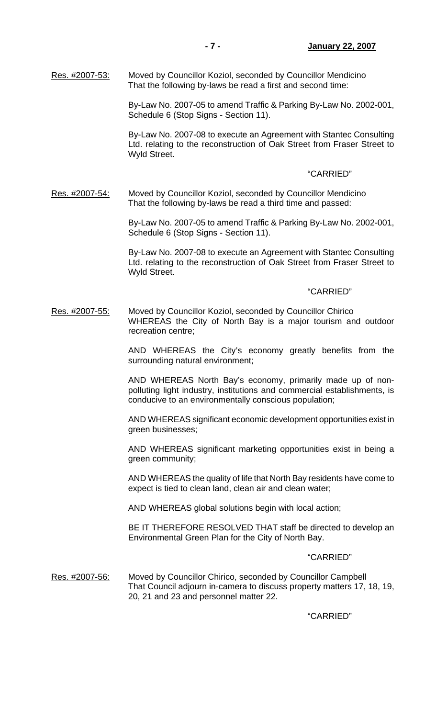Res. #2007-53: Moved by Councillor Koziol, seconded by Councillor Mendicino That the following by-laws be read a first and second time:

> By-Law No. 2007-05 to amend Traffic & Parking By-Law No. 2002-001, Schedule 6 (Stop Signs - Section 11).

> By-Law No. 2007-08 to execute an Agreement with Stantec Consulting Ltd. relating to the reconstruction of Oak Street from Fraser Street to Wyld Street.

## "CARRIED"

Res. #2007-54: Moved by Councillor Koziol, seconded by Councillor Mendicino That the following by-laws be read a third time and passed:

> By-Law No. 2007-05 to amend Traffic & Parking By-Law No. 2002-001, Schedule 6 (Stop Signs - Section 11).

> By-Law No. 2007-08 to execute an Agreement with Stantec Consulting Ltd. relating to the reconstruction of Oak Street from Fraser Street to Wyld Street.

### "CARRIED"

Res. #2007-55: Moved by Councillor Koziol, seconded by Councillor Chirico WHEREAS the City of North Bay is a major tourism and outdoor recreation centre;

> AND WHEREAS the City's economy greatly benefits from the surrounding natural environment;

> AND WHEREAS North Bay's economy, primarily made up of nonpolluting light industry, institutions and commercial establishments, is conducive to an environmentally conscious population;

> AND WHEREAS significant economic development opportunities exist in green businesses;

> AND WHEREAS significant marketing opportunities exist in being a green community;

> AND WHEREAS the quality of life that North Bay residents have come to expect is tied to clean land, clean air and clean water;

AND WHEREAS global solutions begin with local action;

 BE IT THEREFORE RESOLVED THAT staff be directed to develop an Environmental Green Plan for the City of North Bay.

### "CARRIED"

Res. #2007-56: Moved by Councillor Chirico, seconded by Councillor Campbell That Council adjourn in-camera to discuss property matters 17, 18, 19, 20, 21 and 23 and personnel matter 22.